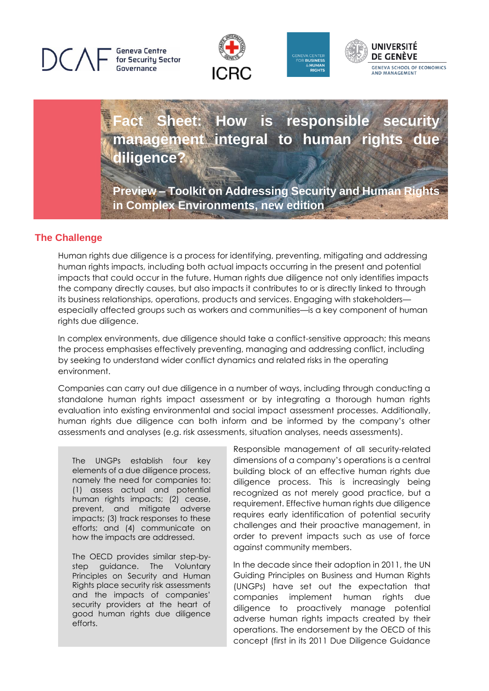## **Geneva Centre** for Security Sector Governance







# **Fact Sheet: How is responsible security management integral to human rights due diligence?**

**Preview – Toolkit on Addressing Security and Human Rights in Complex Environments, new edition**

## **The Challenge**

Human rights due diligence is a process for identifying, preventing, mitigating and addressing human rights impacts, including both actual impacts occurring in the present and potential impacts that could occur in the future. Human rights due diligence not only identifies impacts the company directly causes, but also impacts it contributes to or is directly linked to through its business relationships, operations, products and services. Engaging with stakeholders especially affected groups such as workers and communities—is a key component of human rights due diligence.

In complex environments, due diligence should take a conflict-sensitive approach; this means the process emphasises effectively preventing, managing and addressing conflict, including by seeking to understand wider conflict dynamics and related risks in the operating environment.

Companies can carry out due diligence in a number of ways, including through conducting a standalone human rights impact assessment or by integrating a thorough human rights evaluation into existing environmental and social impact assessment processes. Additionally, human rights due diligence can both inform and be informed by the company's other assessments and analyses (e.g. risk assessments, situation analyses, needs assessments).

The UNGPs establish four key elements of a due diligence process, namely the need for companies to: (1) assess actual and potential human rights impacts; (2) cease, prevent, and mitigate adverse impacts; (3) track responses to these efforts; and (4) communicate on how the impacts are addressed.

The OECD provides similar step-bystep guidance. The Voluntary Principles on Security and Human Rights place security risk assessments and the impacts of companies' security providers at the heart of good human rights due diligence efforts.

Responsible management of all security-related dimensions of a company's operations is a central building block of an effective human rights due diligence process. This is increasingly being recognized as not merely good practice, but a requirement. Effective human rights due diligence requires early identification of potential security challenges and their proactive management, in order to prevent impacts such as use of force against community members.

In the decade since their adoption in 2011, the UN Guiding Principles on Business and Human Rights (UNGPs) have set out the expectation that companies implement human rights due diligence to proactively manage potential adverse human rights impacts created by their operations. The endorsement by the OECD of this concept (first in its 2011 Due Diligence Guidance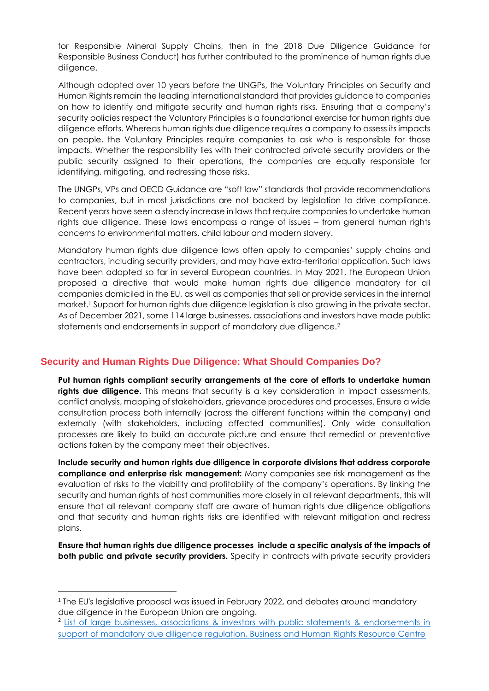for Responsible Mineral Supply Chains, then in the 2018 Due Diligence Guidance for Responsible Business Conduct) has further contributed to the prominence of human rights due diligence.

Although adopted over 10 years before the UNGPs, the Voluntary Principles on Security and Human Rights remain the leading international standard that provides guidance to companies on how to identify and mitigate security and human rights risks. Ensuring that a company's security policies respect the Voluntary Principles is a foundational exercise for human rights due diligence efforts. Whereas human rights due diligence requires a company to assess its impacts on people, the Voluntary Principles require companies to ask *who* is responsible for those impacts. Whether the responsibility lies with their contracted private security providers or the public security assigned to their operations, the companies are equally responsible for identifying, mitigating, and redressing those risks.

The UNGPs, VPs and OECD Guidance are "soft law" standards that provide recommendations to companies, but in most jurisdictions are not backed by legislation to drive compliance. Recent years have seen a steady increase in laws that require companies to undertake human rights due diligence. These laws encompass a range of issues – from general human rights concerns to environmental matters, child labour and modern slavery.

Mandatory human rights due diligence laws often apply to companies' supply chains and contractors, including security providers, and may have extra-territorial application. Such laws have been adopted so far in several European countries. In May 2021, the European Union proposed a directive that would make human rights due diligence mandatory for all companies domiciled in the EU, as well as companies that sell or provide services in the internal market.<sup>1</sup> Support for human rights due diligence legislation is also growing in the private sector. As of December 2021, some 114 large businesses, associations and investors have made public statements and endorsements in support of mandatory due diligence.<sup>2</sup>

## **Security and Human Rights Due Diligence: What Should Companies Do?**

**Put human rights compliant security arrangements at the core of efforts to undertake human rights due diligence.** This means that security is a key consideration in impact assessments, conflict analysis, mapping of stakeholders, grievance procedures and processes. Ensure a wide consultation process both internally (across the different functions within the company) and externally (with stakeholders, including affected communities). Only wide consultation processes are likely to build an accurate picture and ensure that remedial or preventative actions taken by the company meet their objectives.

**Include security and human rights due diligence in corporate divisions that address corporate compliance and enterprise risk management:** Many companies see risk management as the evaluation of risks to the viability and profitability of the company's operations. By linking the security and human rights of host communities more closely in all relevant departments, this will ensure that all relevant company staff are aware of human rights due diligence obligations and that security and human rights risks are identified with relevant mitigation and redress plans.

**Ensure that human rights due diligence processes include a specific analysis of the impacts of both public and private security providers.** Specify in contracts with private security providers

<sup>1</sup> The EU's legislative proposal was issued in February 2022, and debates around mandatory due diligence in the European Union are ongoing.

<sup>&</sup>lt;sup>2</sup> List of large businesses, associations & investors with public statements & endorsements in [support of mandatory due diligence regulation, Business and Human Rights Resource Centre](https://www.business-humanrights.org/en/latest-news/list-of-large-businesses-associations-investors-with-public-statements-endorsements-in-support-of-mandatory-due-diligence-regulation/)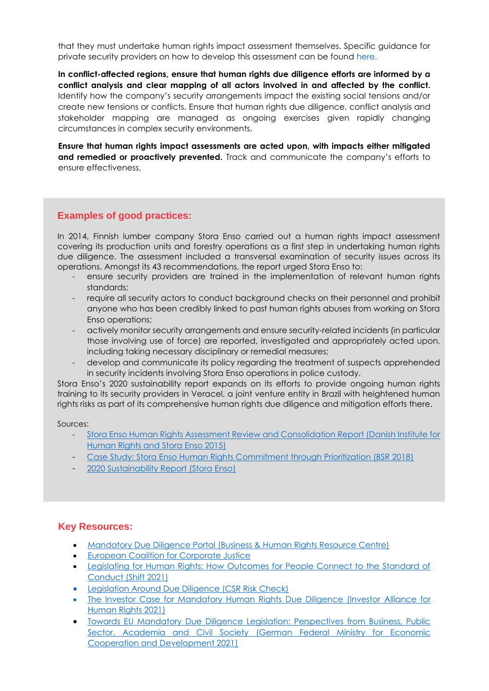that they must undertake human rights impact assessment themselves. Specific guidance for private security providers on how to develop this assessment can be found [here.](https://icoca.ch/wp-content/uploads/2021/06/ICoCA_HRIA_Guidance_A4_WEB1.pdf)

**In conflict-affected regions, ensure that human rights due diligence efforts are informed by a conflict analysis and clear mapping of all actors involved in and affected by the conflict.**  Identify how the company's security arrangements impact the existing social tensions and/or create new tensions or conflicts. Ensure that human rights due diligence, conflict analysis and stakeholder mapping are managed as ongoing exercises given rapidly changing circumstances in complex security environments.

**Ensure that human rights impact assessments are acted upon, with impacts either mitigated and remedied or proactively prevented.** Track and communicate the company's efforts to ensure effectiveness.

## **Examples of good practices:**

In 2014, Finnish lumber company Stora Enso carried out a human rights impact assessment covering its production units and forestry operations as a first step in undertaking human rights due diligence. The assessment included a transversal examination of security issues across its operations. Amongst its 43 recommendations, the report urged Stora Enso to:

- ensure security providers are trained in the implementation of relevant human rights standards;
- require all security actors to conduct background checks on their personnel and prohibit anyone who has been credibly linked to past human rights abuses from working on Stora Enso operations;
- actively monitor security arrangements and ensure security-related incidents (in particular those involving use of force) are reported, investigated and appropriately acted upon, including taking necessary disciplinary or remedial measures;
- develop and communicate its policy regarding the treatment of suspects apprehended in security incidents involving Stora Enso operations in police custody.

Stora Enso's 2020 sustainability report expands on its efforts to provide ongoing human rights training to its security providers in Veracel, a joint venture entity in Brazil with heightened human rights risks as part of its comprehensive human rights due diligence and mitigation efforts there.

Sources:

- Stora Enso Human Rights Assessment Review and Consolidation Report (Danish Institute for [Human Rights and Stora Enso 2015\)](https://www.storaenso.com/-/media/Documents/Download-center/Documents/Sustainability/0502HRA_2015_DIHR_REPORT.ashx)
- [Case Study: Stora Enso Human Rights Commitment through Prioritization \(BSR 2018\)](https://www.bsr.org/en/our-insights/case-study-view/stora-enso-human-rights-commitment-through-prioritization)
- [2020 Sustainability Report \(Stora Enso\)](https://www.storaenso.com/-/media/documents/download-center/documents/annual-reports/2020/storaenso_sustainability_2020.pdf)

### **Key Resources:**

- [Mandatory Due Diligence Portal \(Business & Human Rights Resource Centre\)](https://www.business-humanrights.org/en/big-issues/mandatory-due-diligence/)
- **[European Coalition for Corporate Justice](https://corporatejustice.org/)**
- [Legislating for Human Rights: How Outcomes for People Connect to the Standard of](https://shiftproject.org/hrdd-outcomes-standard/)  [Conduct \(Shift 2021\)](https://shiftproject.org/hrdd-outcomes-standard/)
- [Legislation Around Due Diligence](https://www.mvorisicochecker.nl/en/legislation-around-due-diligence) (CSR Risk Check)
- [The Investor Case for Mandatory Human Rights Due Diligence \(Investor Alliance for](https://investorsforhumanrights.org/sites/default/files/attachments/2020-04/The%20Investor%20Case%20for%20mHRDD%20-%20FINAL_3.pdf)  [Human Rights 2021\)](https://investorsforhumanrights.org/sites/default/files/attachments/2020-04/The%20Investor%20Case%20for%20mHRDD%20-%20FINAL_3.pdf)
- [Towards EU Mandatory Due Diligence Legislation: Perspectives from Business, Public](https://www.business-humanrights.org/en/from-us/briefings/towards-eu-mandatory-due-diligence-legislation/)  Sector, Academia and Civil Society (German Federal Ministry for Economic [Cooperation and Development 2021\)](https://www.business-humanrights.org/en/from-us/briefings/towards-eu-mandatory-due-diligence-legislation/)